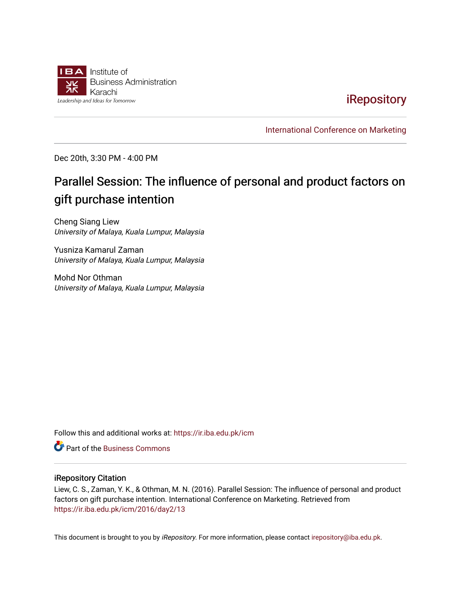

**iRepository** 

[International Conference on Marketing](https://ir.iba.edu.pk/icm) 

Dec 20th, 3:30 PM - 4:00 PM

# Parallel Session: The influence of personal and product factors on gift purchase intention

Cheng Siang Liew University of Malaya, Kuala Lumpur, Malaysia

Yusniza Kamarul Zaman University of Malaya, Kuala Lumpur, Malaysia

Mohd Nor Othman University of Malaya, Kuala Lumpur, Malaysia

Follow this and additional works at: [https://ir.iba.edu.pk/icm](https://ir.iba.edu.pk/icm?utm_source=ir.iba.edu.pk%2Ficm%2F2016%2Fday2%2F13&utm_medium=PDF&utm_campaign=PDFCoverPages) 

Part of the [Business Commons](http://network.bepress.com/hgg/discipline/622?utm_source=ir.iba.edu.pk%2Ficm%2F2016%2Fday2%2F13&utm_medium=PDF&utm_campaign=PDFCoverPages)

#### iRepository Citation

Liew, C. S., Zaman, Y. K., & Othman, M. N. (2016). Parallel Session: The influence of personal and product factors on gift purchase intention. International Conference on Marketing. Retrieved from [https://ir.iba.edu.pk/icm/2016/day2/13](https://ir.iba.edu.pk/icm/2016/day2/13?utm_source=ir.iba.edu.pk%2Ficm%2F2016%2Fday2%2F13&utm_medium=PDF&utm_campaign=PDFCoverPages)

This document is brought to you by iRepository. For more information, please contact [irepository@iba.edu.pk](mailto:irepository@iba.edu.pk).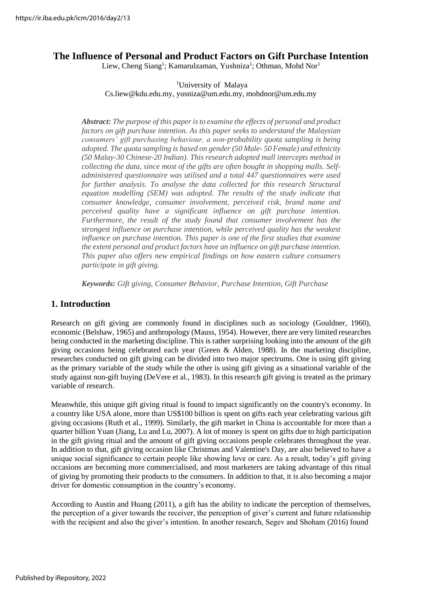# **The Influence of Personal and Product Factors on Gift Purchase Intention**

Liew, Cheng Siang<sup>1</sup>; Kamarulzaman, Yushniza<sup>1</sup>; Othman, Mohd Nor<sup>1</sup>

#### <sup>1</sup>University of Malay[a](mailto:Cs.liew@kdu.edu.my)

[Cs.liew@kdu.edu.my,](mailto:Cs.liew@kdu.edu.my) [yusniza@um.edu.my,](mailto:yusniza@um.edu.my) [mohdnor@um.edu.my](mailto:yusniza@um.edu.my)

*Abstract: The purpose of this paperisto examine the effects of personal and product factors on gift purchase intention. As this paper seeks to understand the Malaysian consumers' gift purchasing behaviour, a non-probability quota sampling is being adopted. The quota sampling is based on gender (50 Male- 50 Female) and ethnicity (50 Malay-30 Chinese-20 Indian). This research adopted mall intercepts method in collecting the data, since most of the gifts are often bought in shopping malls. Selfadministered questionnaire was utilised and a total 447 questionnaires were used for further analysis. To analyse the data collected for this research Structural equation modelling (SEM) was adopted. The results of the study indicate that consumer knowledge, consumer involvement, perceived risk, brand name and perceived quality have a significant influence on gift purchase intention. Furthermore, the result of the study found that consumer involvement has the strongest influence on purchase intention, while perceived quality has the weakest influence on purchase intention. This paper is one of the first studies that examine the extent personal and product factors have an influence on gift purchase intention. This paper also offers new empirical findings on how eastern culture consumers participate in gift giving.*

*Keywords: Gift giving, Consumer Behavior, Purchase Intention, Gift Purchase*

# **1. Introduction**

Research on gift giving are commonly found in disciplines such as sociology (Gouldner, 1960), economic (Belshaw, 1965) and anthropology (Mauss, 1954). However, there are very limited researches being conducted in the marketing discipline. This is rather surprising looking into the amount of the gift giving occasions being celebrated each year (Green  $\&$  Alden, 1988). In the marketing discipline, researches conducted on gift giving can be divided into two major spectrums. One is using gift giving as the primary variable of the study while the other is using gift giving as a situational variable of the study against non-gift buying (DeVere et al., 1983). In this research gift giving is treated as the primary variable of research.

Meanwhile, this unique gift giving ritual is found to impact significantly on the country's economy. In a country like USA alone, more than US\$100 billion is spent on gifts each year celebrating various gift giving occasions (Ruth et al., 1999). Similarly, the gift market in China is accountable for more than a quarter billion Yuan (Jiang, Lu and Lu, 2007). A lot of money is spent on gifts due to high participation in the gift giving ritual and the amount of gift giving occasions people celebrates throughout the year. In addition to that, gift giving occasion like Christmas and Valentine's Day, are also believed to have a unique social significance to certain people like showing love or care. As a result, today's gift giving occasions are becoming more commercialised, and most marketers are taking advantage of this ritual of giving by promoting their products to the consumers. In addition to that, it is also becoming a major driver for domestic consumption in the country's economy.

According to Austin and Huang (2011), a gift has the ability to indicate the perception of themselves, the perception of a giver towards the receiver, the perception of giver's current and future relationship with the recipient and also the giver's intention. In another research, Segev and Shoham (2016) found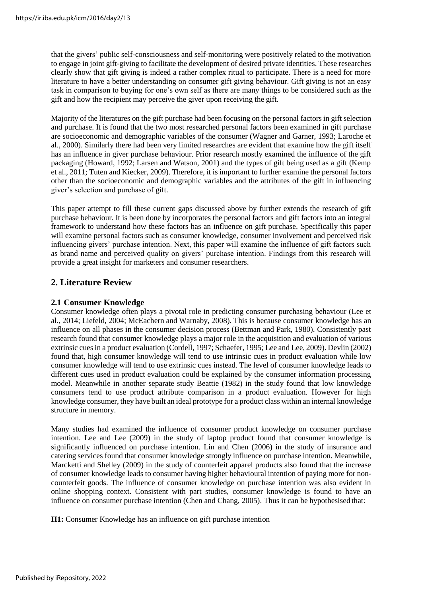that the givers' public self-consciousness and self-monitoring were positively related to the motivation to engage in joint gift-giving to facilitate the development of desired private identities. These researches clearly show that gift giving is indeed a rather complex ritual to participate. There is a need for more literature to have a better understanding on consumer gift giving behaviour. Gift giving is not an easy task in comparison to buying for one's own self as there are many things to be considered such as the gift and how the recipient may perceive the giver upon receiving the gift.

Majority of the literatures on the gift purchase had been focusing on the personal factors in gift selection and purchase. It is found that the two most researched personal factors been examined in gift purchase are socioeconomic and demographic variables of the consumer (Wagner and Garner, 1993; Laroche et al., 2000). Similarly there had been very limited researches are evident that examine how the gift itself has an influence in giver purchase behaviour. Prior research mostly examined the influence of the gift packaging (Howard, 1992; Larsen and Watson, 2001) and the types of gift being used as a gift (Kemp et al., 2011; Tuten and Kiecker, 2009). Therefore, it is important to further examine the personal factors other than the socioeconomic and demographic variables and the attributes of the gift in influencing giver's selection and purchase of gift.

This paper attempt to fill these current gaps discussed above by further extends the research of gift purchase behaviour. It is been done by incorporates the personal factors and gift factors into an integral framework to understand how these factors has an influence on gift purchase. Specifically this paper will examine personal factors such as consumer knowledge, consumer involvement and perceived risk influencing givers' purchase intention. Next, this paper will examine the influence of gift factors such as brand name and perceived quality on givers' purchase intention. Findings from this research will provide a great insight for marketers and consumer researchers.

# **2. Literature Review**

# **2.1 Consumer Knowledge**

Consumer knowledge often plays a pivotal role in predicting consumer purchasing behaviour (Lee et al., 2014; Liefeld, 2004; McEachern and Warnaby, 2008). This is because consumer knowledge has an influence on all phases in the consumer decision process (Bettman and Park, 1980). Consistently past research found that consumer knowledge plays a major role in the acquisition and evaluation of various extrinsic cuesin a product evaluation (Cordell, 1997; Schaefer, 1995; Lee and Lee, 2009). Devlin (2002) found that, high consumer knowledge will tend to use intrinsic cues in product evaluation while low consumer knowledge will tend to use extrinsic cues instead. The level of consumer knowledge leads to different cues used in product evaluation could be explained by the consumer information processing model. Meanwhile in another separate study Beattie (1982) in the study found that low knowledge consumers tend to use product attribute comparison in a product evaluation. However for high knowledge consumer, they have built an ideal prototype for a product class within an internal knowledge structure in memory.

Many studies had examined the influence of consumer product knowledge on consumer purchase intention. Lee and Lee (2009) in the study of laptop product found that consumer knowledge is significantly influenced on purchase intention. Lin and Chen (2006) in the study of insurance and catering services found that consumer knowledge strongly influence on purchase intention. Meanwhile, Marcketti and Shelley (2009) in the study of counterfeit apparel products also found that the increase of consumer knowledge leads to consumer having higher behavioural intention of paying more for noncounterfeit goods. The influence of consumer knowledge on purchase intention was also evident in online shopping context. Consistent with part studies, consumer knowledge is found to have an influence on consumer purchase intention (Chen and Chang, 2005). Thus it can be hypothesised that:

**H1:** Consumer Knowledge has an influence on gift purchase intention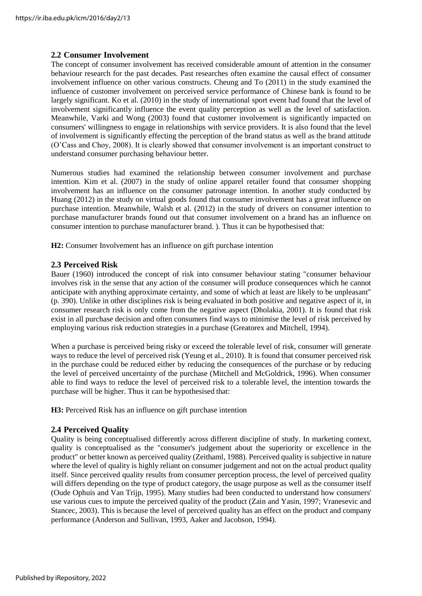#### **2.2 Consumer Involvement**

The concept of consumer involvement has received considerable amount of attention in the consumer behaviour research for the past decades. Past researches often examine the causal effect of consumer involvement influence on other various constructs. Cheung and To (2011) in the study examined the influence of customer involvement on perceived service performance of Chinese bank is found to be largely significant. Ko et al. (2010) in the study of international sport event had found that the level of involvement significantly influence the event quality perception as well as the level of satisfaction. Meanwhile, Varki and Wong (2003) found that customer involvement is significantly impacted on consumers' willingness to engage in relationships with service providers. It is also found that the level of involvement is significantly effecting the perception of the brand status as well as the brand attitude (O'Cass and Choy, 2008). It is clearly showed that consumer involvement is an important construct to understand consumer purchasing behaviour better.

Numerous studies had examined the relationship between consumer involvement and purchase intention. Kim et al. (2007) in the study of online apparel retailer found that consumer shopping involvement has an influence on the consumer patronage intention. In another study conducted by Huang (2012) in the study on virtual goods found that consumer involvement has a great influence on purchase intention. Meanwhile, Walsh et al. (2012) in the study of drivers on consumer intention to purchase manufacturer brands found out that consumer involvement on a brand has an influence on consumer intention to purchase manufacturer brand. ). Thus it can be hypothesised that:

**H2:** Consumer Involvement has an influence on gift purchase intention

#### **2.3 Perceived Risk**

Bauer (1960) introduced the concept of risk into consumer behaviour stating "consumer behaviour involves risk in the sense that any action of the consumer will produce consequences which he cannot anticipate with anything approximate certainty, and some of which at least are likely to be unpleasant" (p. 390). Unlike in other disciplines risk is being evaluated in both positive and negative aspect of it, in consumer research risk is only come from the negative aspect (Dholakia, 2001). It is found that risk exist in all purchase decision and often consumers find ways to minimise the level of risk perceived by employing various risk reduction strategies in a purchase (Greatorex and Mitchell, 1994).

When a purchase is perceived being risky or exceed the tolerable level of risk, consumer will generate ways to reduce the level of perceived risk (Yeung et al., 2010). It is found that consumer perceived risk in the purchase could be reduced either by reducing the consequences of the purchase or by reducing the level of perceived uncertainty of the purchase (Mitchell and McGoldrick, 1996). When consumer able to find ways to reduce the level of perceived risk to a tolerable level, the intention towards the purchase will be higher. Thus it can be hypothesised that:

**H3:** Perceived Risk has an influence on gift purchase intention

#### **2.4 Perceived Quality**

Quality is being conceptualised differently across different discipline of study. In marketing context, quality is conceptualised as the "consumer's judgement about the superiority or excellence in the product" or better known as perceived quality (Zeithaml, 1988). Perceived quality issubjective in nature where the level of quality is highly reliant on consumer judgement and not on the actual product quality itself. Since perceived quality results from consumer perception process, the level of perceived quality will differs depending on the type of product category, the usage purpose as well as the consumer itself (Oude Ophuis and Van Trijp, 1995). Many studies had been conducted to understand how consumers' use various cues to impute the perceived quality of the product (Zain and Yasin, 1997; Vranesevic and Stancec, 2003). This is because the level of perceived quality has an effect on the product and company performance (Anderson and Sullivan, 1993, Aaker and Jacobson, 1994).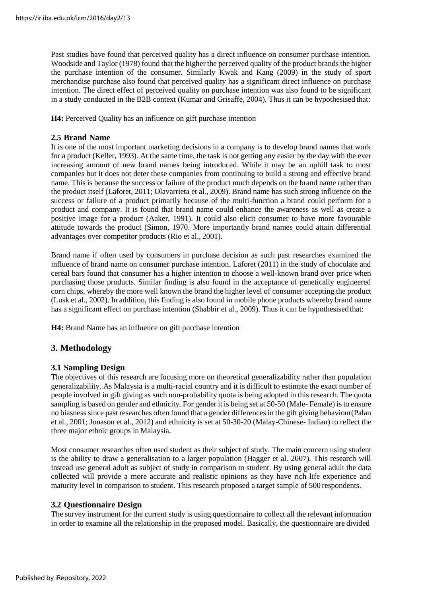Past studies have found that perceived quality has a direct influence on consumer purchase intention. Woodside and Taylor (1978) found that the higher the perceived quality of the product brands the higher the purchase intention of the consumer. Similarly Kwak and Kang (2009) in the study of sport merchandise purchase also found that perceived quality has a significant direct influence on purchase intention. The direct effect of perceived quality on purchase intention was also found to be significant in a study conducted in the B2B context (Kumar and Grisaffe, 2004). Thus it can be hypothesised that:

**H4:** Perceived Quality has an influence on gift purchase intention

#### **2.5 Brand Name**

It is one of the most important marketing decisions in a company is to develop brand names that work for a product (Keller, 1993). At the same time, the task is not getting any easier by the day with the ever increasing amount of new brand names being introduced. While it may be an uphill task to most companies but it does not deter these companies from continuing to build a strong and effective brand name. This is because the success or failure of the product much depends on the brand name rather than the product itself (Laforet, 2011; Olavarrieta et al., 2009). Brand name has such strong influence on the success or failure of a product primarily because of the multi-function a brand could perform for a product and company. It is found that brand name could enhance the awareness as well as create a positive image for a product (Aaker, 1991). It could also elicit consumer to have more favourable attitude towards the product (Simon, 1970. More importantly brand names could attain differential advantages over competitor products (Rio et al., 2001).

Brand name if often used by consumers in purchase decision as such past researches examined the influence of brand name on consumer purchase intention. Laforet (2011) in the study of chocolate and cereal bars found that consumer has a higher intention to choose a well-known brand over price when purchasing those products. Similar finding is also found in the acceptance of genetically engineered corn chips, whereby the more well known the brand the higher level of consumer accepting the product (Lusk et al., 2002). In addition, this finding is also found in mobile phone products whereby brand name has a significant effect on purchase intention (Shabbir et al., 2009). Thus it can be hypothesised that:

**H4:** Brand Name has an influence on gift purchase intention

# **3. Methodology**

#### **3.1 Sampling Design**

The objectives of this research are focusing more on theoretical generalizability rather than population generalizability. As Malaysia is a multi-racial country and it is difficult to estimate the exact number of people involved in gift giving as such non-probability quota is being adopted in this research. The quota sampling is based on gender and ethnicity. For gender it is being set at 50-50 (Male- Female) is to ensure no biasness since past researches often found that a gender differences in the gift giving behaviour(Palan et al., 2001; Jonason et al., 2012) and ethnicity is set at 50-30-20 (Malay-Chinese- Indian) to reflect the three major ethnic groups in Malaysia.

Most consumer researches often used student as their subject of study. The main concern using student is the ability to draw a generalisation to a larger population (Hagger et al. 2007). This research will instead use general adult as subject of study in comparison to student. By using general adult the data collected will provide a more accurate and realistic opinions as they have rich life experience and maturity level in comparison to student. This research proposed a target sample of 500 respondents.

#### **3.2 Questionnaire Design**

The survey instrument for the current study is using questionnaire to collect all the relevant information in order to examine all the relationship in the proposed model. Basically, the questionnaire are divided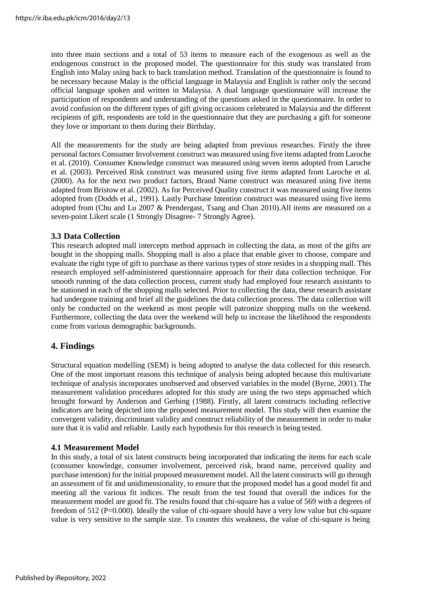into three main sections and a total of 53 items to measure each of the exogenous as well as the endogenous construct in the proposed model. The questionnaire for this study was translated from English into Malay using back to back translation method. Translation of the questionnaire is found to be necessary because Malay is the official language in Malaysia and English is rather only the second official language spoken and written in Malaysia. A dual language questionnaire will increase the participation of respondents and understanding of the questions asked in the questionnaire. In order to avoid confusion on the different types of gift giving occasions celebrated in Malaysia and the different recipients of gift, respondents are told in the questionnaire that they are purchasing a gift for someone they love or important to them during their Birthday.

All the measurements for the study are being adapted from previous researches. Firstly the three personal factors Consumer Involvement construct was measured using five items adapted from Laroche et al. (2010). Consumer Knowledge construct was measured using seven items adopted from Laroche et al. (2003). Perceived Risk construct was measured using five items adapted from Laroche et al. (2000). As for the next two product factors, Brand Name construct was measured using five items adapted from Bristow et al. (2002). As for Perceived Quality construct it was measured using five items adopted from (Dodds et al., 1991). Lastly Purchase Intention construct was measured using five items adopted from (Chu and Lu 2007 & Prendergast, Tsang and Chan 2010).All items are measured on a seven-point Likert scale (1 Strongly Disagree- 7 Strongly Agree).

## **3.3 Data Collection**

This research adopted mall intercepts method approach in collecting the data, as most of the gifts are bought in the shopping malls. Shopping mall is also a place that enable giver to choose, compare and evaluate the right type of gift to purchase as there various types of store resides in a shopping mall. This research employed self-administered questionnaire approach for their data collection technique. For smooth running of the data collection process, current study had employed four research assistants to be stationed in each of the shopping malls selected. Prior to collecting the data, these research assistant had undergone training and brief all the guidelines the data collection process. The data collection will only be conducted on the weekend as most people will patronize shopping malls on the weekend. Furthermore, collecting the data over the weekend will help to increase the likelihood the respondents come from various demographic backgrounds.

# **4. Findings**

Structural equation modelling (SEM) is being adopted to analyse the data collected for this research. One of the most important reasons this technique of analysis being adopted because this multivariate technique of analysis incorporates unobserved and observed variables in the model (Byrne, 2001).The measurement validation procedures adopted for this study are using the two steps approached which brought forward by Anderson and Gerbing (1988). Firstly, all latent constructs including reflective indicators are being depicted into the proposed measurement model. This study will then examine the convergent validity, discriminant validity and construct reliability of the measurement in order to make sure that it is valid and reliable. Lastly each hypothesis for this research is being tested.

#### **4.1 Measurement Model**

In this study, a total of six latent constructs being incorporated that indicating the items for each scale (consumer knowledge, consumer involvement, perceived risk, brand name, perceived quality and purchase intention) for the initial proposed measurement model. All the latent constructs will go through an assessment of fit and unidimensionality, to ensure that the proposed model has a good model fit and meeting all the various fit indices. The result from the test found that overall the indices for the measurement model are good fit. The results found that chi-square has a value of 569 with a degrees of freedom of 512 (P=0.000). Ideally the value of chi-square should have a very low value but chi-square value is very sensitive to the sample size. To counter this weakness, the value of chi-square is being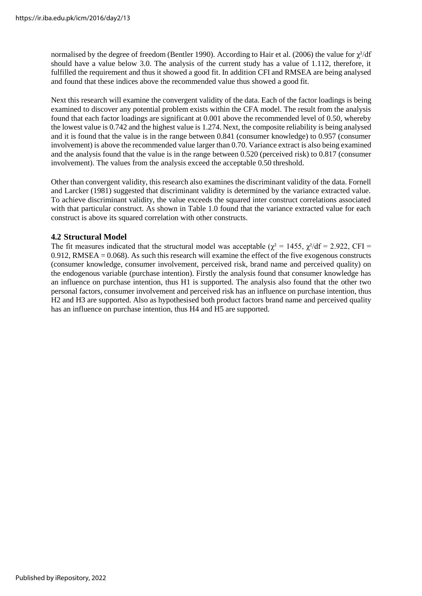normalised by the degree of freedom (Bentler 1990). According to Hair et al. (2006) the value for  $\chi^2$ /df should have a value below 3.0. The analysis of the current study has a value of 1.112, therefore, it fulfilled the requirement and thus it showed a good fit. In addition CFI and RMSEA are being analysed and found that these indices above the recommended value thus showed a good fit.

Next this research will examine the convergent validity of the data. Each of the factor loadings is being examined to discover any potential problem exists within the CFA model. The result from the analysis found that each factor loadings are significant at 0.001 above the recommended level of 0.50, whereby the lowest value is 0.742 and the highest value is 1.274. Next, the composite reliability is being analysed and it is found that the value is in the range between 0.841 (consumer knowledge) to 0.957 (consumer involvement) is above the recommended value larger than 0.70. Variance extract is also being examined and the analysis found that the value is in the range between 0.520 (perceived risk) to 0.817 (consumer involvement). The values from the analysis exceed the acceptable 0.50 threshold.

Other than convergent validity, this research also examines the discriminant validity of the data. Fornell and Larcker (1981) suggested that discriminant validity is determined by the variance extracted value. To achieve discriminant validity, the value exceeds the squared inter construct correlations associated with that particular construct. As shown in Table 1.0 found that the variance extracted value for each construct is above its squared correlation with other constructs.

#### **4.2 Structural Model**

The fit measures indicated that the structural model was acceptable ( $\chi^2 = 1455$ ,  $\chi^2/df = 2.922$ , CFI = 0.912, RMSEA = 0.068). As such this research will examine the effect of the five exogenous constructs (consumer knowledge, consumer involvement, perceived risk, brand name and perceived quality) on the endogenous variable (purchase intention). Firstly the analysis found that consumer knowledge has an influence on purchase intention, thus H1 is supported. The analysis also found that the other two personal factors, consumer involvement and perceived risk has an influence on purchase intention, thus H2 and H3 are supported. Also as hypothesised both product factors brand name and perceived quality has an influence on purchase intention, thus H4 and H5 are supported.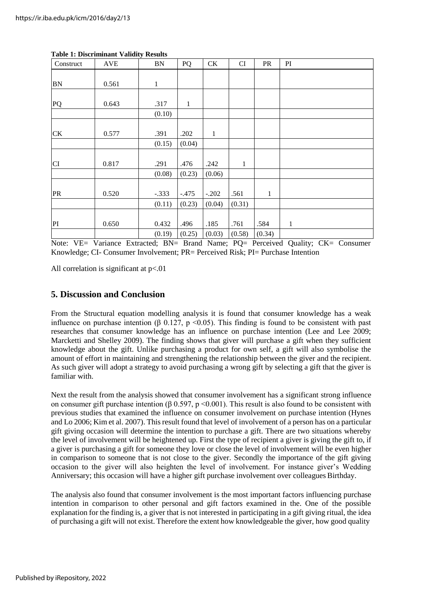| Construct | <b>AVE</b> | BN           | PQ           | CK           | CI     | <b>PR</b>    | PI           |
|-----------|------------|--------------|--------------|--------------|--------|--------------|--------------|
|           |            |              |              |              |        |              |              |
| BN        | 0.561      | $\mathbf{1}$ |              |              |        |              |              |
|           |            |              |              |              |        |              |              |
| PQ        | 0.643      | .317         | $\mathbf{1}$ |              |        |              |              |
|           |            | (0.10)       |              |              |        |              |              |
|           |            |              |              |              |        |              |              |
| <b>CK</b> | 0.577      | .391         | .202         | $\mathbf{1}$ |        |              |              |
|           |            | (0.15)       | (0.04)       |              |        |              |              |
|           |            |              |              |              |        |              |              |
| CI        | 0.817      | .291         | .476         | .242         | 1      |              |              |
|           |            | (0.08)       | (0.23)       | (0.06)       |        |              |              |
|           |            |              |              |              |        |              |              |
| PR        | 0.520      | $-.333$      | $-.475$      | $-.202$      | .561   | $\mathbf{1}$ |              |
|           |            | (0.11)       | (0.23)       | (0.04)       | (0.31) |              |              |
|           |            |              |              |              |        |              |              |
| PI        | 0.650      | 0.432        | .496         | .185         | .761   | .584         | $\mathbf{1}$ |
|           |            | (0.19)       | (0.25)       | (0.03)       | (0.58) | (0.34)       |              |

#### **Table 1: Discriminant Validity Results**

Note: VE= Variance Extracted; BN= Brand Name; PQ= Perceived Quality; CK= Consumer Knowledge; CI- Consumer Involvement; PR= Perceived Risk; PI= Purchase Intention

All correlation is significant at  $p<.01$ 

#### **5. Discussion and Conclusion**

From the Structural equation modelling analysis it is found that consumer knowledge has a weak influence on purchase intention (β 0.127, p <0.05). This finding is found to be consistent with past researches that consumer knowledge has an influence on purchase intention (Lee and Lee 2009; Marcketti and Shelley 2009). The finding shows that giver will purchase a gift when they sufficient knowledge about the gift. Unlike purchasing a product for own self, a gift will also symbolise the amount of effort in maintaining and strengthening the relationship between the giver and the recipient. As such giver will adopt a strategy to avoid purchasing a wrong gift by selecting a gift that the giver is familiar with.

Next the result from the analysis showed that consumer involvement has a significant strong influence on consumer gift purchase intention (β 0.597, p <0.001). This result is also found to be consistent with previous studies that examined the influence on consumer involvement on purchase intention (Hynes and Lo 2006; Kim et al. 2007). This result found that level of involvement of a person has on a particular gift giving occasion will determine the intention to purchase a gift. There are two situations whereby the level of involvement will be heightened up. First the type of recipient a giver is giving the gift to, if a giver is purchasing a gift for someone they love or close the level of involvement will be even higher in comparison to someone that is not close to the giver. Secondly the importance of the gift giving occasion to the giver will also heighten the level of involvement. For instance giver's Wedding Anniversary; this occasion will have a higher gift purchase involvement over colleagues Birthday.

The analysis also found that consumer involvement is the most important factors influencing purchase intention in comparison to other personal and gift factors examined in the. One of the possible explanation for the finding is, a giver that is not interested in participating in a gift giving ritual, the idea of purchasing a gift will not exist. Therefore the extent how knowledgeable the giver, how good quality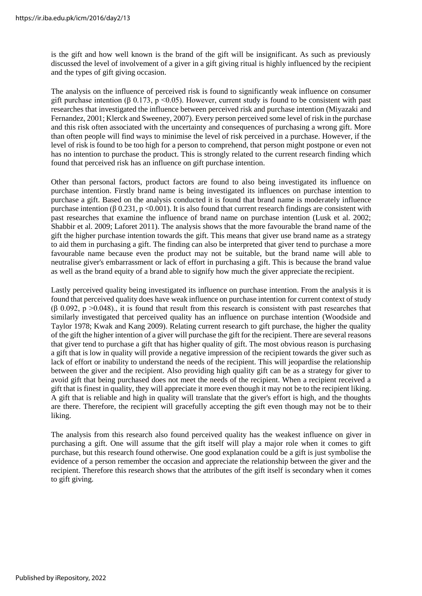is the gift and how well known is the brand of the gift will be insignificant. As such as previously discussed the level of involvement of a giver in a gift giving ritual is highly influenced by the recipient and the types of gift giving occasion.

The analysis on the influence of perceived risk is found to significantly weak influence on consumer gift purchase intention ( $\beta$  0.173, p <0.05). However, current study is found to be consistent with past researches that investigated the influence between perceived risk and purchase intention (Miyazaki and Fernandez, 2001; Klerck and Sweeney, 2007). Every person perceived some level of risk in the purchase and this risk often associated with the uncertainty and consequences of purchasing a wrong gift. More than often people will find ways to minimise the level of risk perceived in a purchase. However, if the level of risk is found to be too high for a person to comprehend, that person might postpone or even not has no intention to purchase the product. This is strongly related to the current research finding which found that perceived risk has an influence on gift purchase intention.

Other than personal factors, product factors are found to also being investigated its influence on purchase intention. Firstly brand name is being investigated its influences on purchase intention to purchase a gift. Based on the analysis conducted it is found that brand name is moderately influence purchase intention (β 0.231, p <0.001). It is also found that current research findings are consistent with past researches that examine the influence of brand name on purchase intention (Lusk et al. 2002; Shabbir et al. 2009; Laforet 2011). The analysis shows that the more favourable the brand name of the gift the higher purchase intention towards the gift. This means that giver use brand name as a strategy to aid them in purchasing a gift. The finding can also be interpreted that giver tend to purchase a more favourable name because even the product may not be suitable, but the brand name will able to neutralise giver's embarrassment or lack of effort in purchasing a gift. This is because the brand value as well as the brand equity of a brand able to signify how much the giver appreciate the recipient.

Lastly perceived quality being investigated its influence on purchase intention. From the analysis it is found that perceived quality does have weak influence on purchase intention for current context of study  $(\beta \ 0.092, p > 0.048)$ , it is found that result from this research is consistent with past researches that similarly investigated that perceived quality has an influence on purchase intention (Woodside and Taylor 1978; Kwak and Kang 2009). Relating current research to gift purchase, the higher the quality of the gift the higher intention of a giver will purchase the gift for the recipient. There are several reasons that giver tend to purchase a gift that has higher quality of gift. The most obvious reason is purchasing a gift that is low in quality will provide a negative impression of the recipient towards the giver such as lack of effort or inability to understand the needs of the recipient. This will jeopardise the relationship between the giver and the recipient. Also providing high quality gift can be as a strategy for giver to avoid gift that being purchased does not meet the needs of the recipient. When a recipient received a gift that is finest in quality, they will appreciate it more even though it may not be to the recipient liking. A gift that is reliable and high in quality will translate that the giver's effort is high, and the thoughts are there. Therefore, the recipient will gracefully accepting the gift even though may not be to their liking.

The analysis from this research also found perceived quality has the weakest influence on giver in purchasing a gift. One will assume that the gift itself will play a major role when it comes to gift purchase, but this research found otherwise. One good explanation could be a gift is just symbolise the evidence of a person remember the occasion and appreciate the relationship between the giver and the recipient. Therefore this research shows that the attributes of the gift itself is secondary when it comes to gift giving.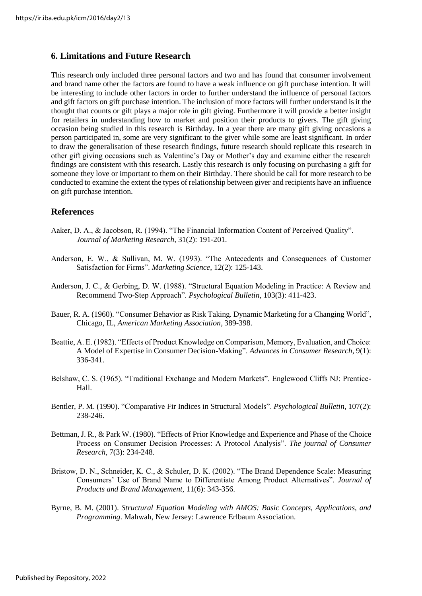# **6. Limitations and Future Research**

This research only included three personal factors and two and has found that consumer involvement and brand name other the factors are found to have a weak influence on gift purchase intention. It will be interesting to include other factors in order to further understand the influence of personal factors and gift factors on gift purchase intention. The inclusion of more factors will further understand is it the thought that counts or gift plays a major role in gift giving. Furthermore it will provide a better insight for retailers in understanding how to market and position their products to givers. The gift giving occasion being studied in this research is Birthday. In a year there are many gift giving occasions a person participated in, some are very significant to the giver while some are least significant. In order to draw the generalisation of these research findings, future research should replicate this research in other gift giving occasions such as Valentine's Day or Mother's day and examine either the research findings are consistent with this research. Lastly this research is only focusing on purchasing a gift for someone they love or important to them on their Birthday. There should be call for more research to be conducted to examine the extent the types of relationship between giver and recipients have an influence on gift purchase intention.

## **References**

- Aaker, D. A., & Jacobson, R. (1994). "The Financial Information Content of Perceived Quality". *Journal of Marketing Research*, 31(2): 191-201.
- Anderson, E. W., & Sullivan, M. W. (1993). "The Antecedents and Consequences of Customer Satisfaction for Firms". *Marketing Science*, 12(2): 125-143.
- Anderson, J. C., & Gerbing, D. W. (1988). "Structural Equation Modeling in Practice: A Review and Recommend Two-Step Approach". *Psychological Bulletin*, 103(3): 411-423.
- Bauer, R. A. (1960). "Consumer Behavior as Risk Taking. Dynamic Marketing for a Changing World", Chicago, IL, *American Marketing Association*, 389-398.
- Beattie, A. E. (1982). "Effects of Product Knowledge on Comparison, Memory, Evaluation, and Choice: A Model of Expertise in Consumer Decision-Making". *Advances in Consumer Research*, 9(1): 336-341.
- Belshaw, C. S. (1965). "Traditional Exchange and Modern Markets". Englewood Cliffs NJ: Prentice-Hall.
- Bentler, P. M. (1990). "Comparative Fir Indices in Structural Models". *Psychological Bulletin*, 107(2): 238-246.
- Bettman, J. R., & Park W. (1980). "Effects of Prior Knowledge and Experience and Phase of the Choice Process on Consumer Decision Processes: A Protocol Analysis". *The journal of Consumer Research*, 7(3): 234-248.
- Bristow, D. N., Schneider, K. C., & Schuler, D. K. (2002). "The Brand Dependence Scale: Measuring Consumers' Use of Brand Name to Differentiate Among Product Alternatives". *Journal of Products and Brand Management*, 11(6): 343-356.
- Byrne, B. M. (2001). *Structural Equation Modeling with AMOS: Basic Concepts, Applications, and Programming*. Mahwah, New Jersey: Lawrence Erlbaum Association.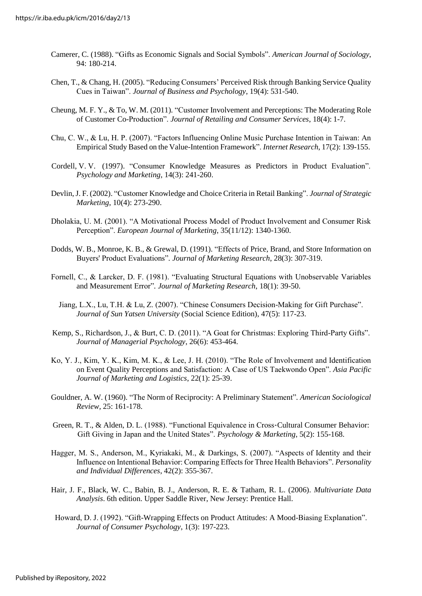- Camerer, C. (1988). "Gifts as Economic Signals and Social Symbols". *American Journal of Sociology*, 94: 180-214.
- Chen, T., & Chang, H. (2005). "Reducing Consumers' Perceived Risk through Banking Service Quality Cues in Taiwan". *Journal of Business and Psychology*, 19(4): 531-540.
- Cheung, M. F. Y., & To, W. M. (2011). "Customer Involvement and Perceptions: The Moderating Role of Customer Co-Production". *Journal of Retailing and Consumer Services*, 18(4): 1-7.
- Chu, C. W., & Lu, H. P. (2007). "Factors Influencing Online Music Purchase Intention in Taiwan: An Empirical Study Based on the Value-Intention Framework". *Internet Research*, 17(2): 139-155.
- Cordell, V. V. (1997). "Consumer Knowledge Measures as Predictors in Product Evaluation". *Psychology and Marketing*, 14(3): 241-260.
- Devlin,J. F. (2002). "Customer Knowledge and Choice Criteria in Retail Banking". *Journal of Strategic Marketing*, 10(4): 273-290.
- Dholakia, U. M. (2001). "A Motivational Process Model of Product Involvement and Consumer Risk Perception". *European Journal of Marketing*, 35(11/12): 1340-1360.
- Dodds, W. B., Monroe, K. B., & Grewal, D. (1991). "Effects of Price, Brand, and Store Information on Buyers' Product Evaluations"*. Journal of Marketing Research*, 28(3): 307-319.
- Fornell, C., & Larcker, D. F. (1981). "Evaluating Structural Equations with Unobservable Variables and Measurement Error"*. Journal of Marketing Research*, 18(1): 39-50.
	- Jiang, L.X., Lu, T.H. & Lu, Z. (2007). "Chinese Consumers Decision-Making for Gift Purchase". *Journal of Sun Yatsen University* (Social Science Edition), 47(5): 117-23.
- Kemp, S., Richardson, J., & Burt, C. D. (2011). "A Goat for Christmas: Exploring Third-Party Gifts". *Journal of Managerial Psychology*, 26(6): 453-464.
- Ko, Y. J., Kim, Y. K., Kim, M. K., & Lee, J. H. (2010). "The Role of Involvement and Identification on Event Quality Perceptions and Satisfaction: A Case of US Taekwondo Open". *Asia Pacific Journal of Marketing and Logistics*, 22(1): 25-39.
- Gouldner, A. W. (1960). "The Norm of Reciprocity: A Preliminary Statement"*. American Sociological Review,* 25: 161-178.
- Green, R. T., & Alden, D. L. (1988). "Functional Equivalence in Cross-Cultural Consumer Behavior: Gift Giving in Japan and the United States". *Psychology & Marketing*, 5(2): 155-168.
- Hagger, M. S., Anderson, M., Kyriakaki, M., & Darkings, S. (2007). "Aspects of Identity and their Influence on Intentional Behavior: Comparing Effects for Three Health Behaviors"*. Personality and Individual Differences*, 42(2): 355-367.
- Hair, J. F., Black, W. C., Babin, B. J., Anderson, R. E. & Tatham, R. L. (2006). *Multivariate Data Analysis*. 6th edition. Upper Saddle River, New Jersey: Prentice Hall.
- Howard, D. J. (1992). "Gift-Wrapping Effects on Product Attitudes: A Mood-Biasing Explanation". *Journal of Consumer Psychology*, 1(3): 197-223.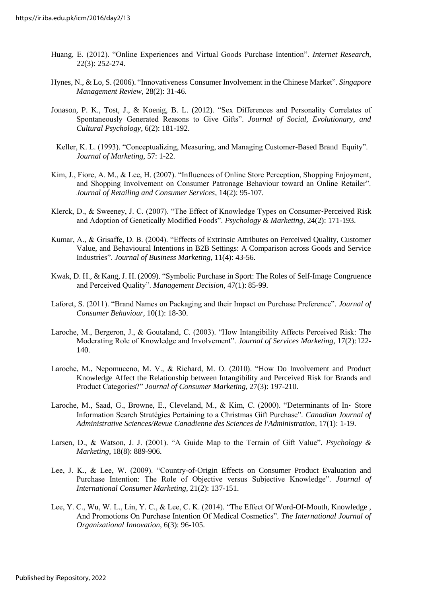- Huang, E. (2012). "Online Experiences and Virtual Goods Purchase Intention". *Internet Research*, 22(3): 252-274.
- Hynes, N., & Lo, S. (2006). "Innovativeness Consumer Involvement in the Chinese Market". *Singapore Management Review*, 28(2): 31-46.
- Jonason, P. K., Tost, J., & Koenig, B. L. (2012). "Sex Differences and Personality Correlates of Spontaneously Generated Reasons to Give Gifts". *Journal of Social, Evolutionary, and Cultural Psychology*, 6(2): 181-192.
- Keller, K. L. (1993). "Conceptualizing, Measuring, and Managing Customer-Based Brand Equity". *Journal of Marketing*, 57: 1-22.
- Kim, J., Fiore, A. M., & Lee, H. (2007). "Influences of Online Store Perception, Shopping Enjoyment, and Shopping Involvement on Consumer Patronage Behaviour toward an Online Retailer". *Journal of Retailing and Consumer Services*, 14(2): 95-107.
- Klerck, D., & Sweeney, J. C. (2007). "The Effect of Knowledge Types on Consumer‐Perceived Risk and Adoption of Genetically Modified Foods". *Psychology & Marketing*, 24(2): 171-193.
- Kumar, A., & Grisaffe, D. B. (2004). "Effects of Extrinsic Attributes on Perceived Quality, Customer Value, and Behavioural Intentions in B2B Settings: A Comparison across Goods and Service Industries". *Journal of Business Marketing*, 11(4): 43-56.
- Kwak, D. H., & Kang, J. H. (2009). "Symbolic Purchase in Sport: The Roles of Self-Image Congruence and Perceived Quality". *Management Decision*, 47(1): 85-99.
- Laforet, S. (2011). "Brand Names on Packaging and their Impact on Purchase Preference". *Journal of Consumer Behaviour*, 10(1): 18-30.
- Laroche, M., Bergeron, J., & Goutaland, C. (2003). "How Intangibility Affects Perceived Risk: The Moderating Role of Knowledge and Involvement". *Journal of Services Marketing*, 17(2):122- 140.
- Laroche, M., Nepomuceno, M. V., & Richard, M. O. (2010). "How Do Involvement and Product Knowledge Affect the Relationship between Intangibility and Perceived Risk for Brands and Product Categories?" *Journal of Consumer Marketing*, 27(3): 197-210.
- Laroche, M., Saad, G., Browne, E., Cleveland, M., & Kim, C. (2000). "Determinants of In‐ Store Information Search Stratégies Pertaining to a Christmas Gift Purchase". *Canadian Journal of Administrative Sciences/Revue Canadienne des Sciences de l'Administration*, 17(1): 1-19.
- Larsen, D., & Watson, J. J. (2001). "A Guide Map to the Terrain of Gift Value"*. Psychology & Marketing*, 18(8): 889-906.
- Lee, J. K., & Lee, W. (2009). "Country-of-Origin Effects on Consumer Product Evaluation and Purchase Intention: The Role of Objective versus Subjective Knowledge". *Journal of International Consumer Marketing*, 21(2): 137-151.
- Lee, Y. C., Wu, W. L., Lin, Y. C., & Lee, C. K. (2014). "The Effect Of Word-Of-Mouth, Knowledge , And Promotions On Purchase Intention Of Medical Cosmetics". *The International Journal of Organizational Innovation*, 6(3): 96-105.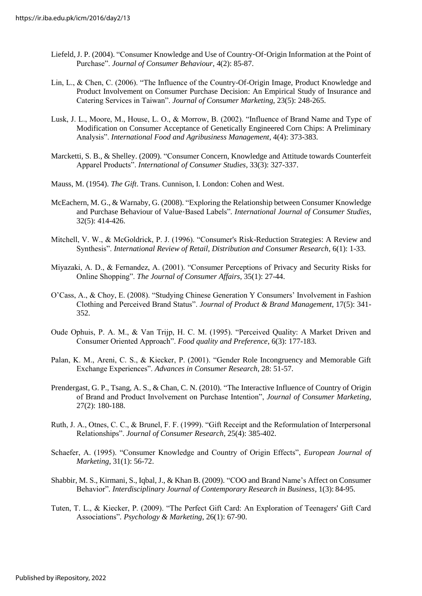- Liefeld,J. P. (2004). "Consumer Knowledge and Use of Country‐Of‐Origin Information at the Point of Purchase". *Journal of Consumer Behaviour*, 4(2): 85-87.
- Lin, L., & Chen, C. (2006). "The Influence of the Country-Of-Origin Image, Product Knowledge and Product Involvement on Consumer Purchase Decision: An Empirical Study of Insurance and Catering Services in Taiwan". *Journal of Consumer Marketing*, 23(5): 248-265.
- Lusk, J. L., Moore, M., House, L. O., & Morrow, B. (2002). "Influence of Brand Name and Type of Modification on Consumer Acceptance of Genetically Engineered Corn Chips: A Preliminary Analysis". *International Food and Agribusiness Management*, 4(4): 373-383.
- Marcketti, S. B., & Shelley. (2009). "Consumer Concern, Knowledge and Attitude towards Counterfeit Apparel Products". *International of Consumer Studies*, 33(3): 327-337.
- Mauss, M. (1954). *The Gift*. Trans. Cunnison, I. London: Cohen and West.
- McEachern, M. G., & Warnaby, G. (2008). "Exploring the Relationship between Consumer Knowledge and Purchase Behaviour of Value‐Based Labels"*. International Journal of Consumer Studies*, 32(5): 414-426.
- Mitchell, V. W., & McGoldrick, P. J. (1996). "Consumer's Risk-Reduction Strategies: A Review and Synthesis". *International Review of Retail, Distribution and Consumer Research*, 6(1): 1-33.
- Miyazaki, A. D., & Fernandez, A. (2001). "Consumer Perceptions of Privacy and Security Risks for Online Shopping". *The Journal of Consumer Affairs*, 35(1): 27-44.
- O'Cass, A., & Choy, E. (2008). "Studying Chinese Generation Y Consumers' Involvement in Fashion Clothing and Perceived Brand Status". *Journal of Product & Brand Management*, 17(5): 341- 352.
- Oude Ophuis, P. A. M., & Van Trijp, H. C. M. (1995). "Perceived Quality: A Market Driven and Consumer Oriented Approach". *Food quality and Preference*, 6(3): 177-183.
- Palan, K. M., Areni, C. S., & Kiecker, P. (2001). "Gender Role Incongruency and Memorable Gift Exchange Experiences". *Advances in Consumer Research*, 28: 51-57.
- Prendergast, G. P., Tsang, A. S., & Chan, C. N. (2010). "The Interactive Influence of Country of Origin of Brand and Product Involvement on Purchase Intention", *Journal of Consumer Marketing*, 27(2): 180-188.
- Ruth, J. A., Otnes, C. C., & Brunel, F. F. (1999). "Gift Receipt and the Reformulation of Interpersonal Relationships". *Journal of Consumer Research*, 25(4): 385-402.
- Schaefer, A. (1995). "Consumer Knowledge and Country of Origin Effects", *European Journal of Marketing*, 31(1): 56-72.
- Shabbir, M. S., Kirmani, S., Iqbal, J., & Khan B. (2009). "COO and Brand Name's Affect on Consumer Behavior"*. Interdisciplinary Journal of Contemporary Research in Business*, 1(3): 84-95.
- Tuten, T. L., & Kiecker, P. (2009). "The Perfect Gift Card: An Exploration of Teenagers' Gift Card Associations"*. Psychology & Marketing*, 26(1): 67-90.